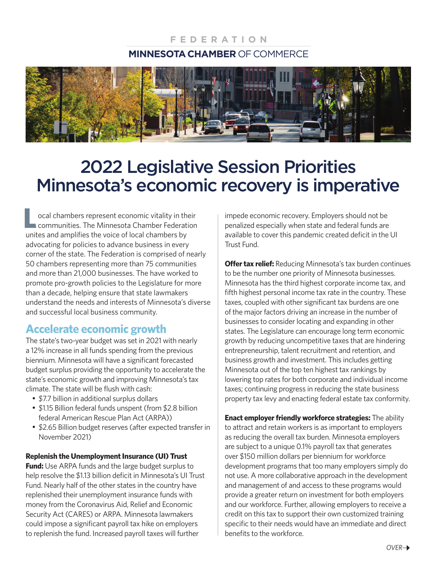### **FEDERATION MINNESOTA CHAMBER** OF COMMERCE



# 2022 Legislative Session Priorities Minnesota's economic recovery is imperative

ocal chambers represent economic vitality in their **Communities. The Minnesota Chamber Federation Lackson** coal chambers represent economic vitality in the communities. The Minnesota Chamber Federation unites and amplifies the voice of local chambers by advocating for policies to advance business in every corner of the state. The Federation is comprised of nearly 50 chambers representing more than 75 communities and more than 21,000 businesses. The have worked to promote pro-growth policies to the Legislature for more than a decade, helping ensure that state lawmakers understand the needs and interests of Minnesota's diverse and successful local business community.

## **Accelerate economic growth**

The state's two-year budget was set in 2021 with nearly a 12% increase in all funds spending from the previous biennium. Minnesota will have a significant forecasted budget surplus providing the opportunity to accelerate the state's economic growth and improving Minnesota's tax climate. The state will be flush with cash:

- \$7.7 billion in additional surplus dollars
- \$1.15 Billion federal funds unspent (from \$2.8 billion federal American Rescue Plan Act (ARPA))
- \$2.65 Billion budget reserves (after expected transfer in November 2021)

#### **Replenish the Unemployment Insurance (UI) Trust**

**Fund:** Use ARPA funds and the large budget surplus to help resolve the \$1.13 billion deficit in Minnesota's UI Trust Fund. Nearly half of the other states in the country have replenished their unemployment insurance funds with money from the Coronavirus Aid, Relief and Economic Security Act (CARES) or ARPA. Minnesota lawmakers could impose a significant payroll tax hike on employers to replenish the fund. Increased payroll taxes will further

impede economic recovery. Employers should not be penalized especially when state and federal funds are available to cover this pandemic created deficit in the UI Trust Fund.

**Offer tax relief:** Reducing Minnesota's tax burden continues to be the number one priority of Minnesota businesses. Minnesota has the third highest corporate income tax, and fifth highest personal income tax rate in the country. These taxes, coupled with other significant tax burdens are one of the major factors driving an increase in the number of businesses to consider locating and expanding in other states. The Legislature can encourage long term economic growth by reducing uncompetitive taxes that are hindering entrepreneurship, talent recruitment and retention, and business growth and investment. This includes getting Minnesota out of the top ten highest tax rankings by lowering top rates for both corporate and individual income taxes; continuing progress in reducing the state business property tax levy and enacting federal estate tax conformity.

**Enact employer friendly workforce strategies:** The ability to attract and retain workers is as important to employers as reducing the overall tax burden. Minnesota employers are subject to a unique 0.1% payroll tax that generates over \$150 million dollars per biennium for workforce development programs that too many employers simply do not use. A more collaborative approach in the development and management of and access to these programs would provide a greater return on investment for both employers and our workforce. Further, allowing employers to receive a credit on this tax to support their own customized training specific to their needs would have an immediate and direct benefits to the workforce.